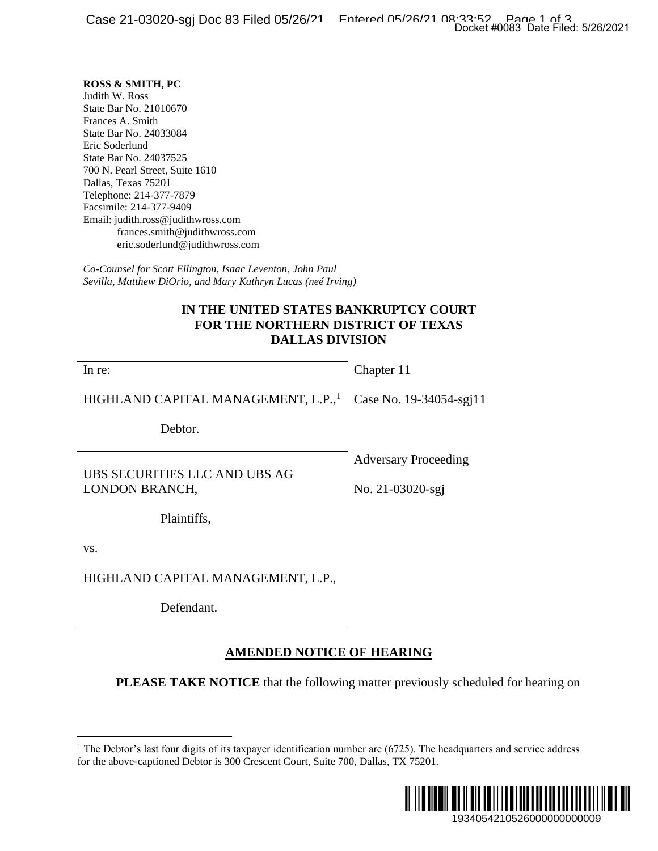## **ROSS & SMITH, PC**

## **IN THE UNITED STATES BANKRUPTCY COURT FOR THE NORTHERN DISTRICT OF TEXAS DALLAS DIVISION**

|                                                                                                                                                                                                                                                                                                                                                                                                                                                                                                                                                                                                                                  | Docket #0083 Date Filed: 5/26/2021              |
|----------------------------------------------------------------------------------------------------------------------------------------------------------------------------------------------------------------------------------------------------------------------------------------------------------------------------------------------------------------------------------------------------------------------------------------------------------------------------------------------------------------------------------------------------------------------------------------------------------------------------------|-------------------------------------------------|
| <b>ROSS &amp; SMITH, PC</b><br>Judith W. Ross<br>State Bar No. 21010670<br>Frances A. Smith<br>State Bar No. 24033084<br>Eric Soderlund<br>State Bar No. 24037525<br>700 N. Pearl Street, Suite 1610<br>Dallas, Texas 75201<br>Telephone: 214-377-7879<br>Facsimile: 214-377-9409<br>Email: judith.ross@judithwross.com<br>frances.smith@judithwross.com<br>eric.soderlund@judithwross.com<br>Co-Counsel for Scott Ellington, Isaac Leventon, John Paul<br>Sevilla, Matthew DiOrio, and Mary Kathryn Lucas (neé Irving)<br>IN THE UNITED STATES BANKRUPTCY COURT<br>FOR THE NORTHERN DISTRICT OF TEXAS<br><b>DALLAS DIVISION</b> |                                                 |
| In re:                                                                                                                                                                                                                                                                                                                                                                                                                                                                                                                                                                                                                           | Chapter 11                                      |
| HIGHLAND CAPITAL MANAGEMENT, L.P.,                                                                                                                                                                                                                                                                                                                                                                                                                                                                                                                                                                                               | Case No. 19-34054-sgj11                         |
| Debtor.                                                                                                                                                                                                                                                                                                                                                                                                                                                                                                                                                                                                                          |                                                 |
| UBS SECURITIES LLC AND UBS AG<br><b>LONDON BRANCH,</b><br>Plaintiffs,                                                                                                                                                                                                                                                                                                                                                                                                                                                                                                                                                            | <b>Adversary Proceeding</b><br>No. 21-03020-sgj |
| VS.                                                                                                                                                                                                                                                                                                                                                                                                                                                                                                                                                                                                                              |                                                 |
| HIGHLAND CAPITAL MANAGEMENT, L.P.,<br>Defendant.                                                                                                                                                                                                                                                                                                                                                                                                                                                                                                                                                                                 |                                                 |
| <b>AMENDED NOTICE OF HEARING</b>                                                                                                                                                                                                                                                                                                                                                                                                                                                                                                                                                                                                 |                                                 |
| <b>PLEASE TAKE NOTICE</b> that the following matter previously scheduled for hearing on                                                                                                                                                                                                                                                                                                                                                                                                                                                                                                                                          |                                                 |
| The Debtor's last four digits of its taxpayer identification number are (6725). The headquarters and service address<br>for the above-captioned Debtor is 300 Crescent Court, Suite 700, Dallas, TX 75201.                                                                                                                                                                                                                                                                                                                                                                                                                       |                                                 |
|                                                                                                                                                                                                                                                                                                                                                                                                                                                                                                                                                                                                                                  | 1934054210526000000000009                       |

## **AMENDED NOTICE OF HEARING**

 $1$  The Debtor's last four digits of its taxpayer identification number are (6725). The headquarters and service address for the above-captioned Debtor is 300 Crescent Court, Suite 700, Dallas, TX 75201.

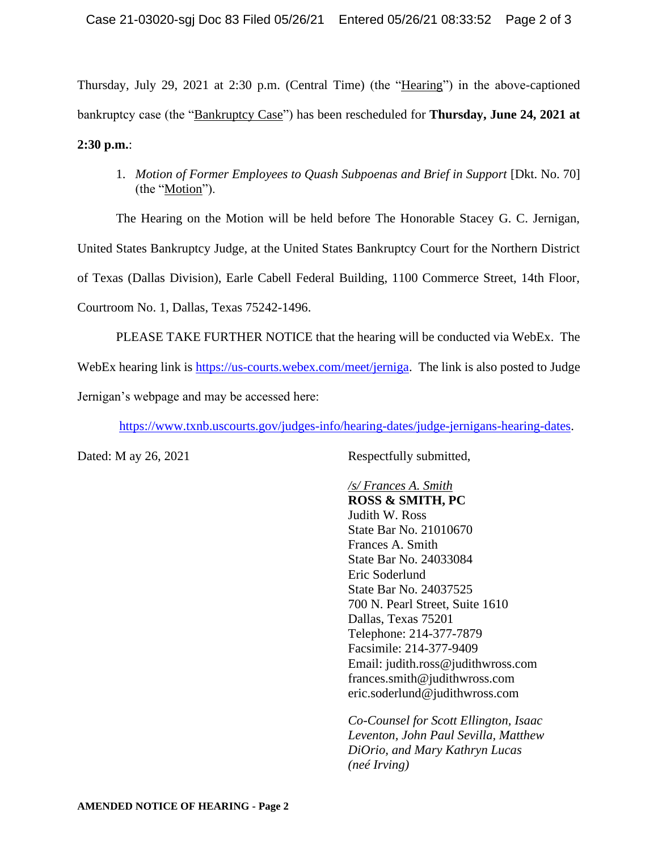Thursday, July 29, 2021 at 2:30 p.m. (Central Time) (the "Hearing") in the above-captioned bankruptcy case (the "Bankruptcy Case") has been rescheduled for **Thursday, June 24, 2021 at 2:30 p.m.**:

1. *Motion of Former Employees to Quash Subpoenas and Brief in Support* [Dkt. No. 70] (the "Motion").

The Hearing on the Motion will be held before The Honorable Stacey G. C. Jernigan, United States Bankruptcy Judge, at the United States Bankruptcy Court for the Northern District of Texas (Dallas Division), Earle Cabell Federal Building, 1100 Commerce Street, 14th Floor, Courtroom No. 1, Dallas, Texas 75242-1496.

PLEASE TAKE FURTHER NOTICE that the hearing will be conducted via WebEx. The WebEx hearing link is [https://us-courts.webex.com/meet/jerniga.](https://us-courts.webex.com/meet/jerniga) The link is also posted to Judge Jernigan's webpage and may be accessed here:

[https://www.txnb.uscourts.gov/judges-info/hearing-dates/judge-jernigans-hearing-dates.](https://www.txnb.uscourts.gov/judges-info/hearing-dates/judge-jernigans-hearing-dates)

Dated: M ay 26, 2021 Respectfully submitted,

*/s/ Frances A. Smith* **ROSS & SMITH, PC** Judith W. Ross State Bar No. 21010670 Frances A. Smith State Bar No. 24033084 Eric Soderlund State Bar No. 24037525 700 N. Pearl Street, Suite 1610 Dallas, Texas 75201 Telephone: 214-377-7879 Facsimile: 214-377-9409 Email: judith.ross@judithwross.com frances.smith@judithwross.com eric.soderlund@judithwross.com

*Co-Counsel for Scott Ellington, Isaac Leventon, John Paul Sevilla, Matthew DiOrio, and Mary Kathryn Lucas (neé Irving)*